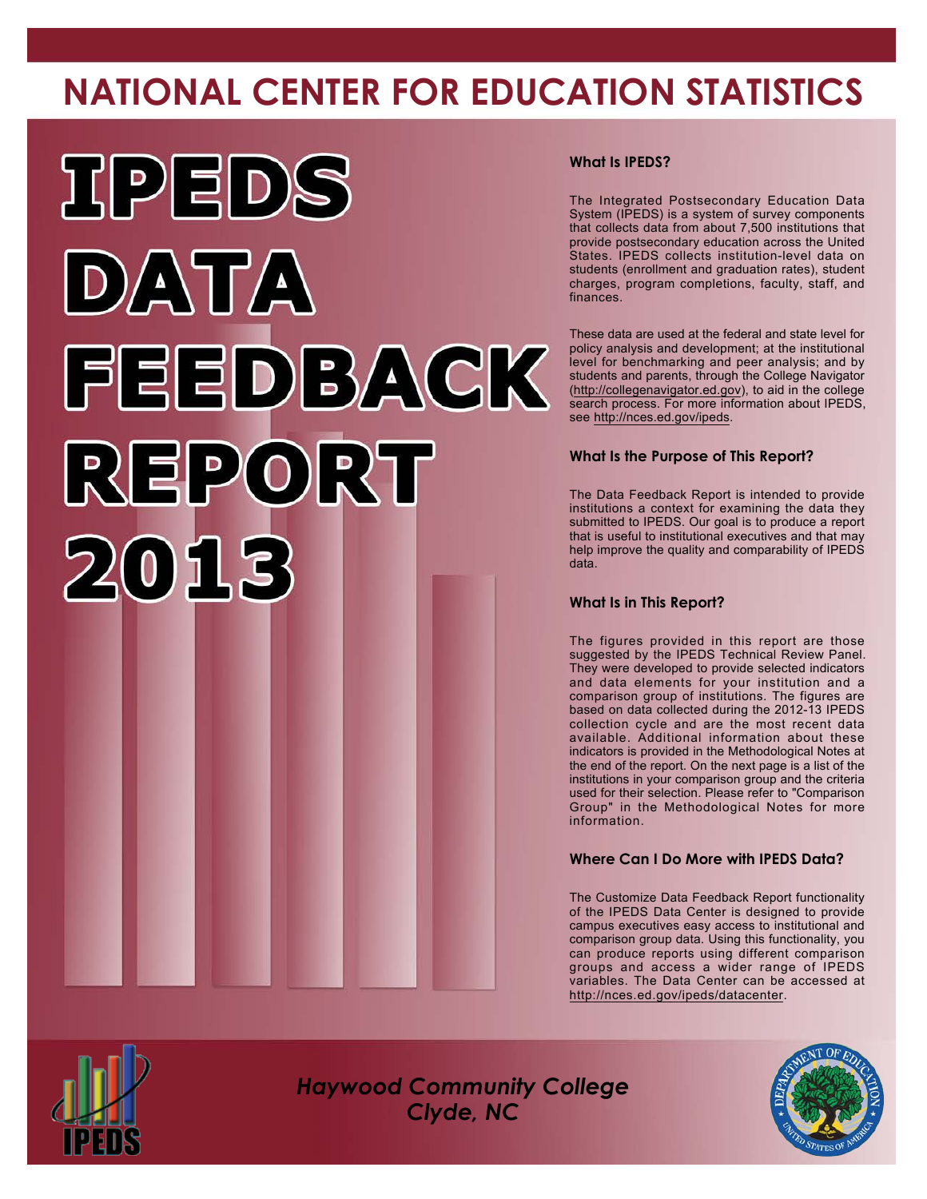# **NATIONAL CENTER FOR EDUCATION STATISTICS**



#### **What Is IPEDS?**

The Integrated Postsecondary Education Data System (IPEDS) is a system of survey components that collects data from about 7,500 institutions that provide postsecondary education across the United States. IPEDS collects institution-level data on students (enrollment and graduation rates), student charges, program completions, faculty, staff, and finances.

These data are used at the federal and state level for policy analysis and development; at the institutional level for benchmarking and peer analysis; and by students and parents, through the College Navigator [\(http://collegenavigator.ed.gov\)](http://collegenavigator.ed.gov), to aid in the college search process. For more information about IPEDS, see <http://nces.ed.gov/ipeds>.

#### **What Is the Purpose of This Report?**

The Data Feedback Report is intended to provide institutions a context for examining the data they submitted to IPEDS. Our goal is to produce a report that is useful to institutional executives and that may help improve the quality and comparability of IPEDS data.

#### **What Is in This Report?**

The figures provided in this report are those suggested by the IPEDS Technical Review Panel. They were developed to provide selected indicators and data elements for your institution and a comparison group of institutions. The figures are based on data collected during the 2012-13 IPEDS collection cycle and are the most recent data available. Additional information about these indicators is provided in the Methodological Notes at the end of the report. On the next page is a list of the institutions in your comparison group and the criteria used for their selection. Please refer to "Comparison Group" in the Methodological Notes for more information.

#### **Where Can I Do More with IPEDS Data?**

The Customize Data Feedback Report functionality of the IPEDS Data Center is designed to provide campus executives easy access to institutional and comparison group data. Using this functionality, you can produce reports using different comparison groups and access a wider range of IPEDS variables. The Data Center can be accessed at <http://nces.ed.gov/ipeds/datacenter>.



*Haywood Community College Clyde, NC*

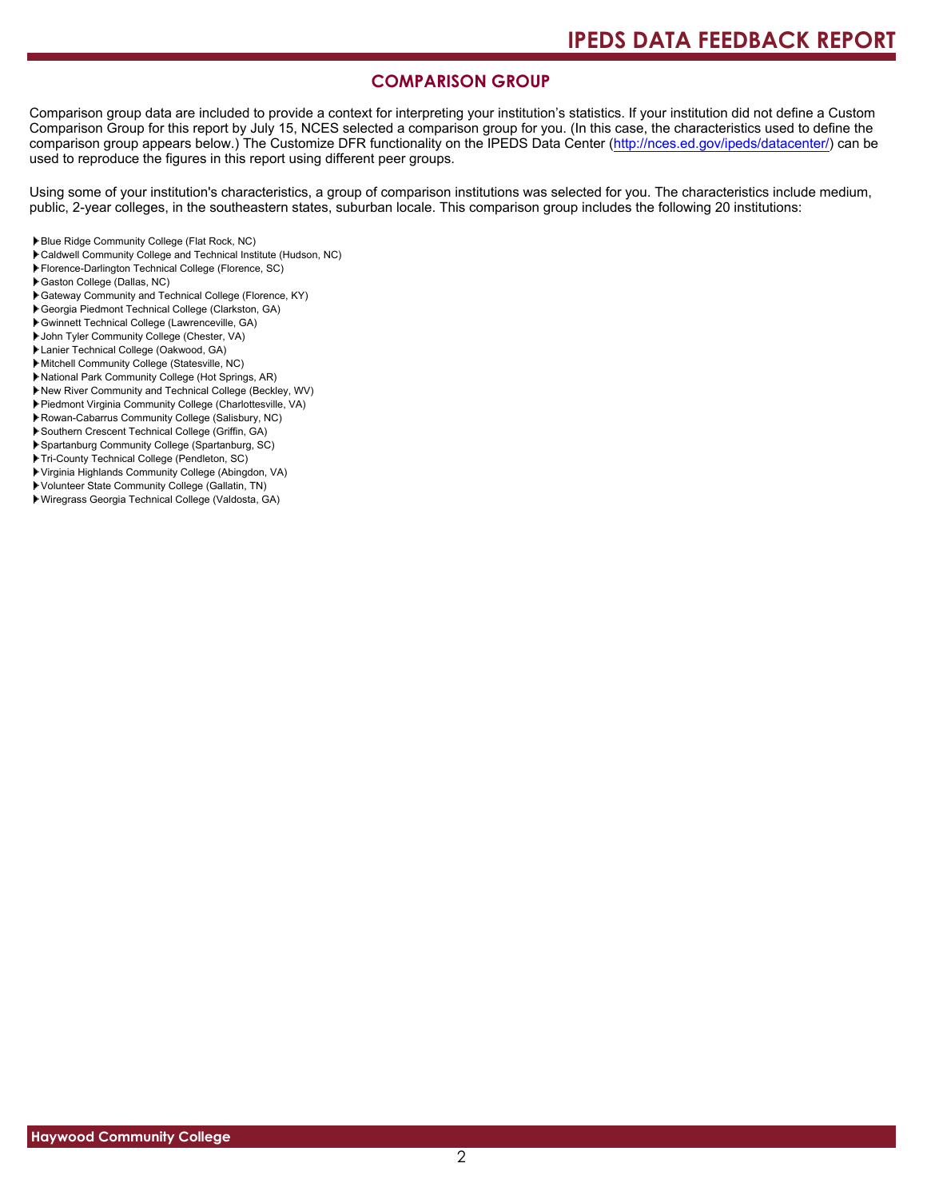#### **COMPARISON GROUP**

Comparison group data are included to provide a context for interpreting your institution's statistics. If your institution did not define a Custom Comparison Group for this report by July 15, NCES selected a comparison group for you. (In this case, the characteristics used to define the comparison group appears below.) The Customize DFR functionality on the IPEDS Data Center [\(http://nces.ed.gov/ipeds/datacenter/\)](http://nces.ed.gov/ipeds/datacenter/) can be used to reproduce the figures in this report using different peer groups.

Using some of your institution's characteristics, a group of comparison institutions was selected for you. The characteristics include medium, public, 2-year colleges, in the southeastern states, suburban locale. This comparison group includes the following 20 institutions:

- Blue Ridge Community College (Flat Rock, NC)
- Caldwell Community College and Technical Institute (Hudson, NC)
- Florence-Darlington Technical College (Florence, SC)
- Gaston College (Dallas, NC)
- Gateway Community and Technical College (Florence, KY)
- Georgia Piedmont Technical College (Clarkston, GA)
- Gwinnett Technical College (Lawrenceville, GA)
- John Tyler Community College (Chester, VA)
- Lanier Technical College (Oakwood, GA)
- Mitchell Community College (Statesville, NC)
- National Park Community College (Hot Springs, AR)
- New River Community and Technical College (Beckley, WV)
- Piedmont Virginia Community College (Charlottesville, VA)
- ▶ Rowan-Cabarrus Community College (Salisbury, NC)
- Southern Crescent Technical College (Griffin, GA)
- Spartanburg Community College (Spartanburg, SC)
- Tri-County Technical College (Pendleton, SC)
- Virginia Highlands Community College (Abingdon, VA)
- Volunteer State Community College (Gallatin, TN)
- Wiregrass Georgia Technical College (Valdosta, GA)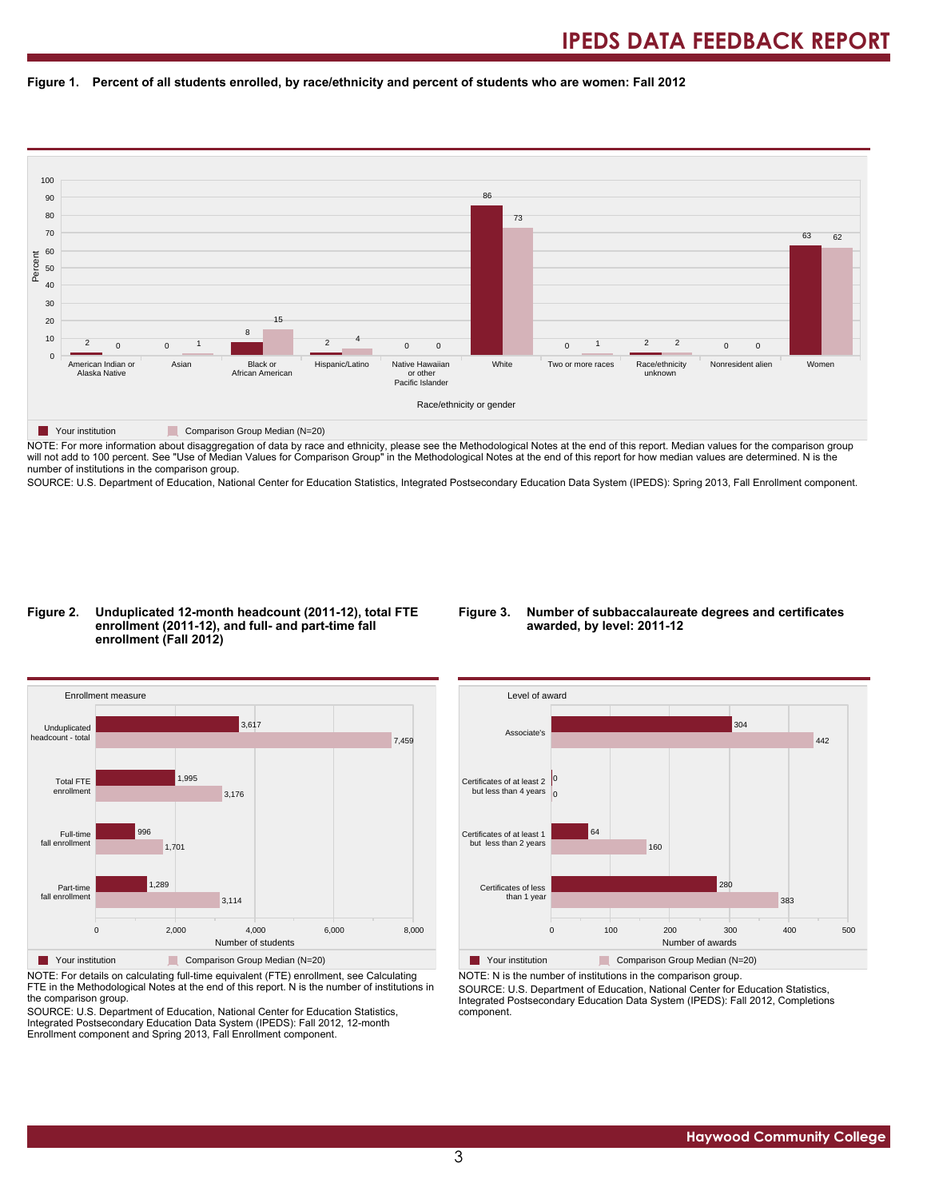#### **Figure 1. Percent of all students enrolled, by race/ethnicity and percent of students who are women: Fall 2012**



NOTE: For more information about disaggregation of data by race and ethnicity, please see the Methodological Notes at the end of this report. Median values for the comparison group will not add to 100 percent. See "Use of Median Values for Comparison Group" in the Methodological Notes at the end of this report for how median values are determined. N is the number of institutions in the comparison group.

SOURCE: U.S. Department of Education, National Center for Education Statistics, Integrated Postsecondary Education Data System (IPEDS): Spring 2013, Fall Enrollment component.

#### **Figure 2. Unduplicated 12-month headcount (2011-12), total FTE enrollment (2011-12), and full- and part-time fall enrollment (Fall 2012)**

#### **Figure 3. Number of subbaccalaureate degrees and certificates awarded, by level: 2011-12**



NOTE: For details on calculating full-time equivalent (FTE) enrollment, see Calculating FTE in the Methodological Notes at the end of this report. N is the number of institutions in the comparison group.

SOURCE: U.S. Department of Education, National Center for Education Statistics, Integrated Postsecondary Education Data System (IPEDS): Fall 2012, 12-month Enrollment component and Spring 2013, Fall Enrollment component.



Your institution Comparison Group Median (N=20) NOTE: N is the number of institutions in the comparison group.

SOURCE: U.S. Department of Education, National Center for Education Statistics, Integrated Postsecondary Education Data System (IPEDS): Fall 2012, Completions component.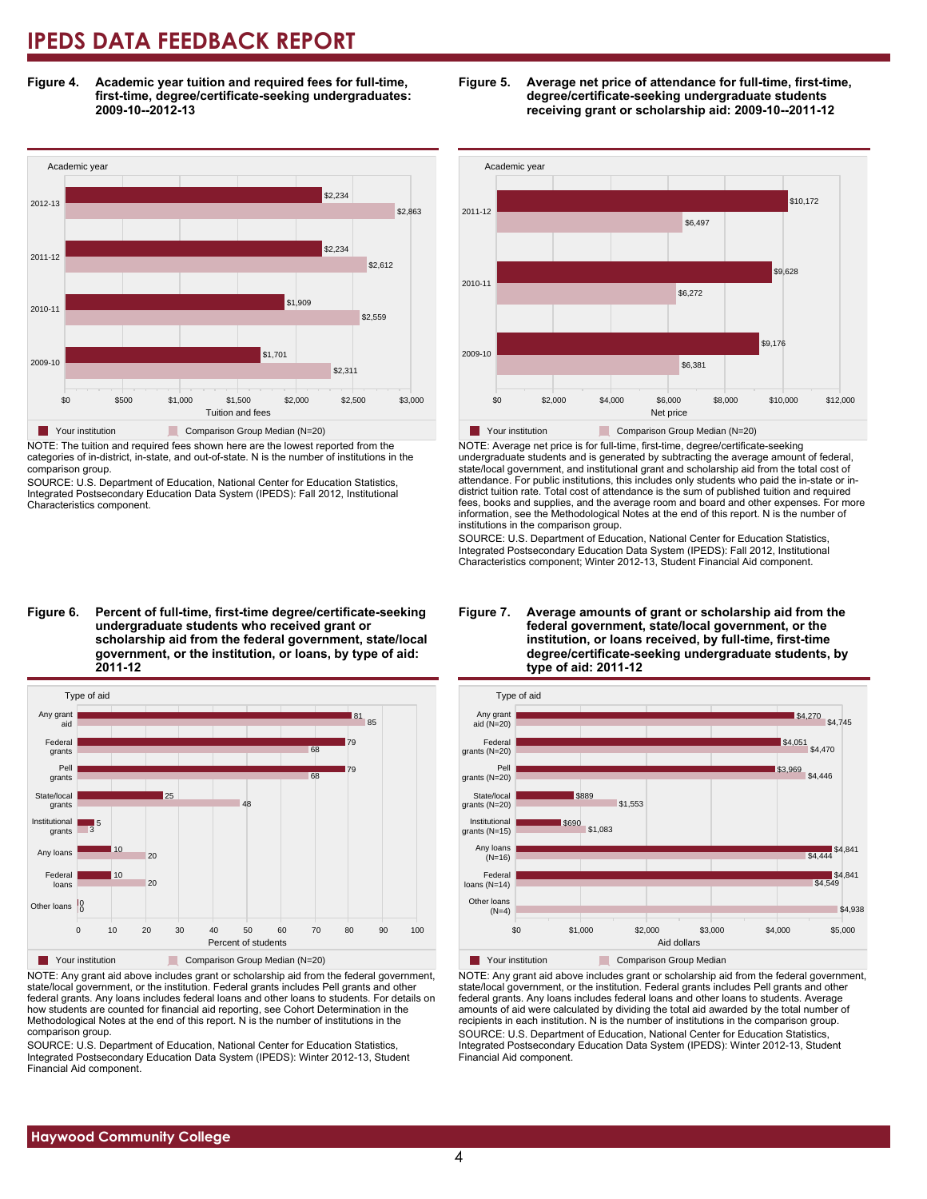**Figure 4. Academic year tuition and required fees for full-time, first-time, degree/certificate-seeking undergraduates: 2009-10--2012-13**



NOTE: The tuition and required fees shown here are the lowest reported from the categories of in-district, in-state, and out-of-state. N is the number of institutions in the comparison group.

SOURCE: U.S. Department of Education, National Center for Education Statistics, Integrated Postsecondary Education Data System (IPEDS): Fall 2012, Institutional Characteristics component.

**Figure 6. Percent of full-time, first-time degree/certificate-seeking undergraduate students who received grant or scholarship aid from the federal government, state/local government, or the institution, or loans, by type of aid: 2011-12**



NOTE: Any grant aid above includes grant or scholarship aid from the federal government, state/local government, or the institution. Federal grants includes Pell grants and other federal grants. Any loans includes federal loans and other loans to students. For details on how students are counted for financial aid reporting, see Cohort Determination in the Methodological Notes at the end of this report. N is the number of institutions in the comparison group.

SOURCE: U.S. Department of Education, National Center for Education Statistics, Integrated Postsecondary Education Data System (IPEDS): Winter 2012-13, Student Financial Aid component.





NOTE: Average net price is for full-time, first-time, degree/certificate-seeking undergraduate students and is generated by subtracting the average amount of federal, state/local government, and institutional grant and scholarship aid from the total cost of attendance. For public institutions, this includes only students who paid the in-state or indistrict tuition rate. Total cost of attendance is the sum of published tuition and required fees, books and supplies, and the average room and board and other expenses. For more information, see the Methodological Notes at the end of this report. N is the number of institutions in the comparison group.

SOURCE: U.S. Department of Education, National Center for Education Statistics, Integrated Postsecondary Education Data System (IPEDS): Fall 2012, Institutional Characteristics component; Winter 2012-13, Student Financial Aid component.





NOTE: Any grant aid above includes grant or scholarship aid from the federal government, state/local government, or the institution. Federal grants includes Pell grants and other federal grants. Any loans includes federal loans and other loans to students. Average amounts of aid were calculated by dividing the total aid awarded by the total number of recipients in each institution. N is the number of institutions in the comparison group. SOURCE: U.S. Department of Education, National Center for Education Statistics, Integrated Postsecondary Education Data System (IPEDS): Winter 2012-13, Student Financial Aid component.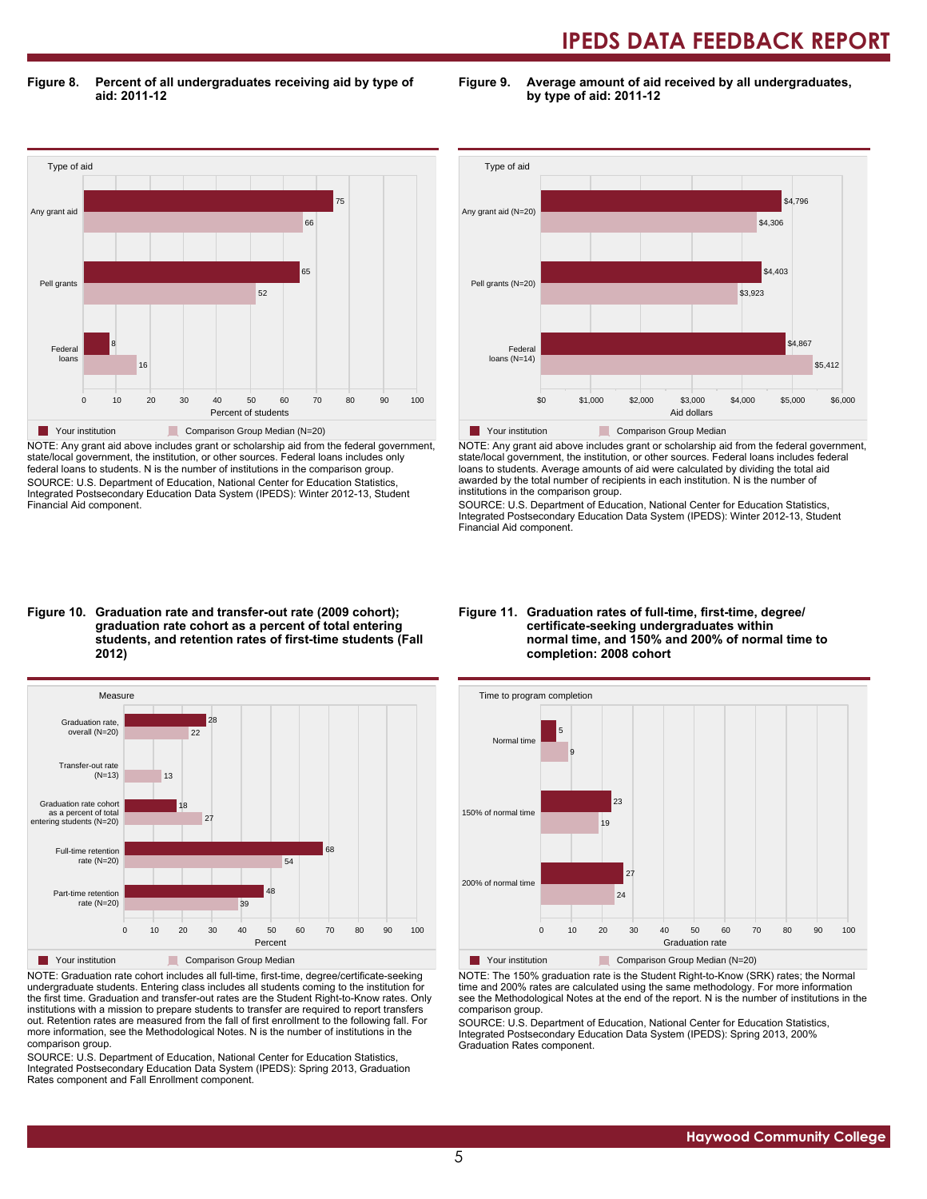**Figure 8. Percent of all undergraduates receiving aid by type of aid: 2011-12**

**Figure 9. Average amount of aid received by all undergraduates, by type of aid: 2011-12**



NOTE: Any grant aid above includes grant or scholarship aid from the federal government, state/local government, the institution, or other sources. Federal loans includes only federal loans to students. N is the number of institutions in the comparison group. SOURCE: U.S. Department of Education, National Center for Education Statistics, Integrated Postsecondary Education Data System (IPEDS): Winter 2012-13, Student Financial Aid component.



NOTE: Any grant aid above includes grant or scholarship aid from the federal government, state/local government, the institution, or other sources. Federal loans includes federal loans to students. Average amounts of aid were calculated by dividing the total aid awarded by the total number of recipients in each institution. N is the number of institutions in the comparison group.

SOURCE: U.S. Department of Education, National Center for Education Statistics, Integrated Postsecondary Education Data System (IPEDS): Winter 2012-13, Student Financial Aid component.

#### **Figure 10. Graduation rate and transfer-out rate (2009 cohort); graduation rate cohort as a percent of total entering students, and retention rates of first-time students (Fall 2012)**



NOTE: Graduation rate cohort includes all full-time, first-time, degree/certificate-seeking undergraduate students. Entering class includes all students coming to the institution for the first time. Graduation and transfer-out rates are the Student Right-to-Know rates. Only institutions with a mission to prepare students to transfer are required to report transfers out. Retention rates are measured from the fall of first enrollment to the following fall. For more information, see the Methodological Notes. N is the number of institutions in the comparison group.

SOURCE: U.S. Department of Education, National Center for Education Statistics, Integrated Postsecondary Education Data System (IPEDS): Spring 2013, Graduation Rates component and Fall Enrollment component.

#### **Figure 11. Graduation rates of full-time, first-time, degree/ certificate-seeking undergraduates within normal time, and 150% and 200% of normal time to completion: 2008 cohort**



Your institution Comparison Group Median (N=20)

NOTE: The 150% graduation rate is the Student Right-to-Know (SRK) rates; the Normal time and 200% rates are calculated using the same methodology. For more information see the Methodological Notes at the end of the report. N is the number of institutions in the comparison group.

SOURCE: U.S. Department of Education, National Center for Education Statistics, Integrated Postsecondary Education Data System (IPEDS): Spring 2013, 200% Graduation Rates component.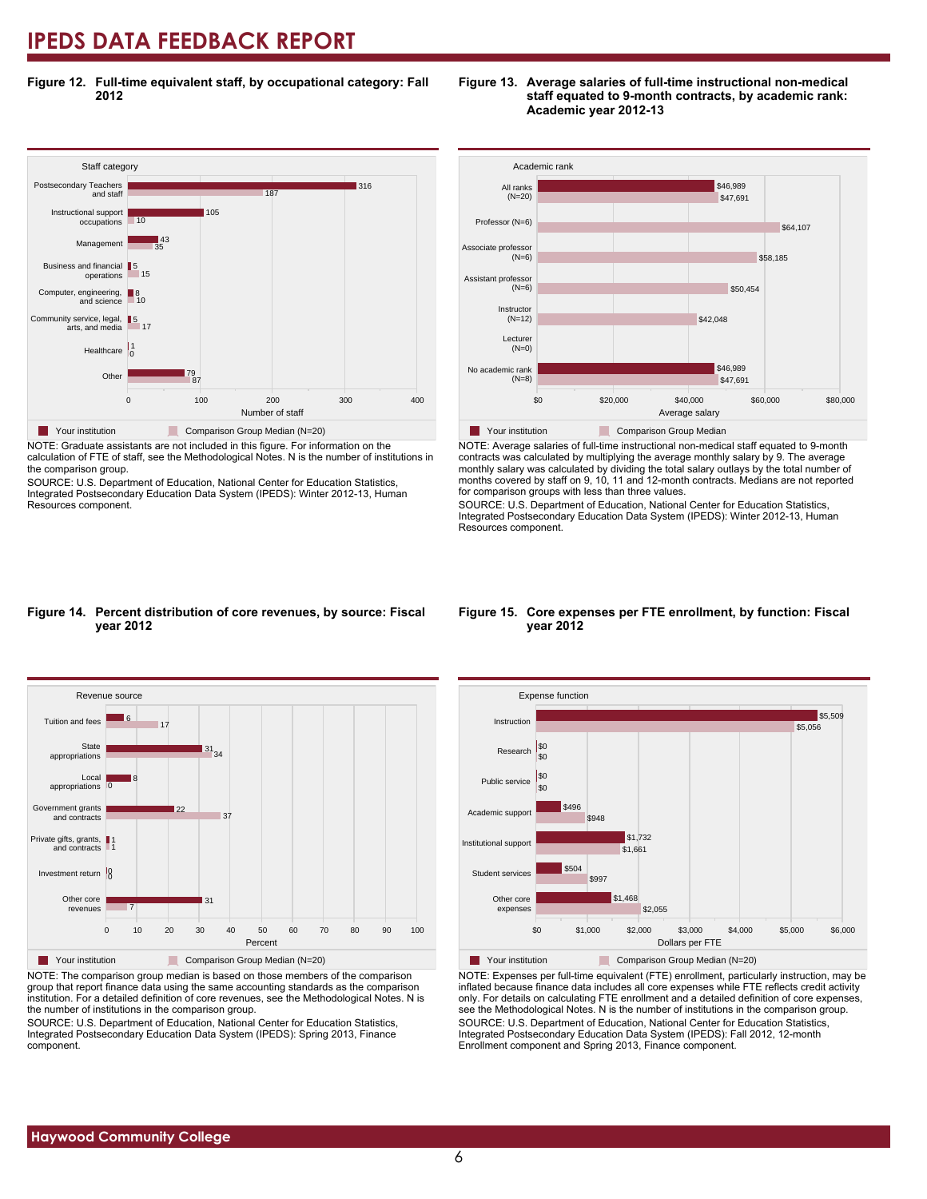**Figure 12. Full-time equivalent staff, by occupational category: Fall 2012**



NOTE: Graduate assistants are not included in this figure. For information on the calculation of FTE of staff, see the Methodological Notes. N is the number of institutions in

the comparison group. SOURCE: U.S. Department of Education, National Center for Education Statistics,

Integrated Postsecondary Education Data System (IPEDS): Winter 2012-13, Human Resources component.



**Figure 13. Average salaries of full-time instructional non-medical**

**staff equated to 9-month contracts, by academic rank:**



NOTE: Average salaries of full-time instructional non-medical staff equated to 9-month contracts was calculated by multiplying the average monthly salary by 9. The average monthly salary was calculated by dividing the total salary outlays by the total number of months covered by staff on 9, 10, 11 and 12-month contracts. Medians are not reported for comparison groups with less than three values.

SOURCE: U.S. Department of Education, National Center for Education Statistics, Integrated Postsecondary Education Data System (IPEDS): Winter 2012-13, Human Resources component.

#### **Figure 14. Percent distribution of core revenues, by source: Fiscal year 2012**



NOTE: The comparison group median is based on those members of the comparison group that report finance data using the same accounting standards as the comparison institution. For a detailed definition of core revenues, see the Methodological Notes. N is the number of institutions in the comparison group.

SOURCE: U.S. Department of Education, National Center for Education Statistics, Integrated Postsecondary Education Data System (IPEDS): Spring 2013, Finance component.

#### **Figure 15. Core expenses per FTE enrollment, by function: Fiscal year 2012**



NOTE: Expenses per full-time equivalent (FTE) enrollment, particularly instruction, may be inflated because finance data includes all core expenses while FTE reflects credit activity only. For details on calculating FTE enrollment and a detailed definition of core expenses, see the Methodological Notes. N is the number of institutions in the comparison group. SOURCE: U.S. Department of Education, National Center for Education Statistics, Integrated Postsecondary Education Data System (IPEDS): Fall 2012, 12-month Enrollment component and Spring 2013, Finance component.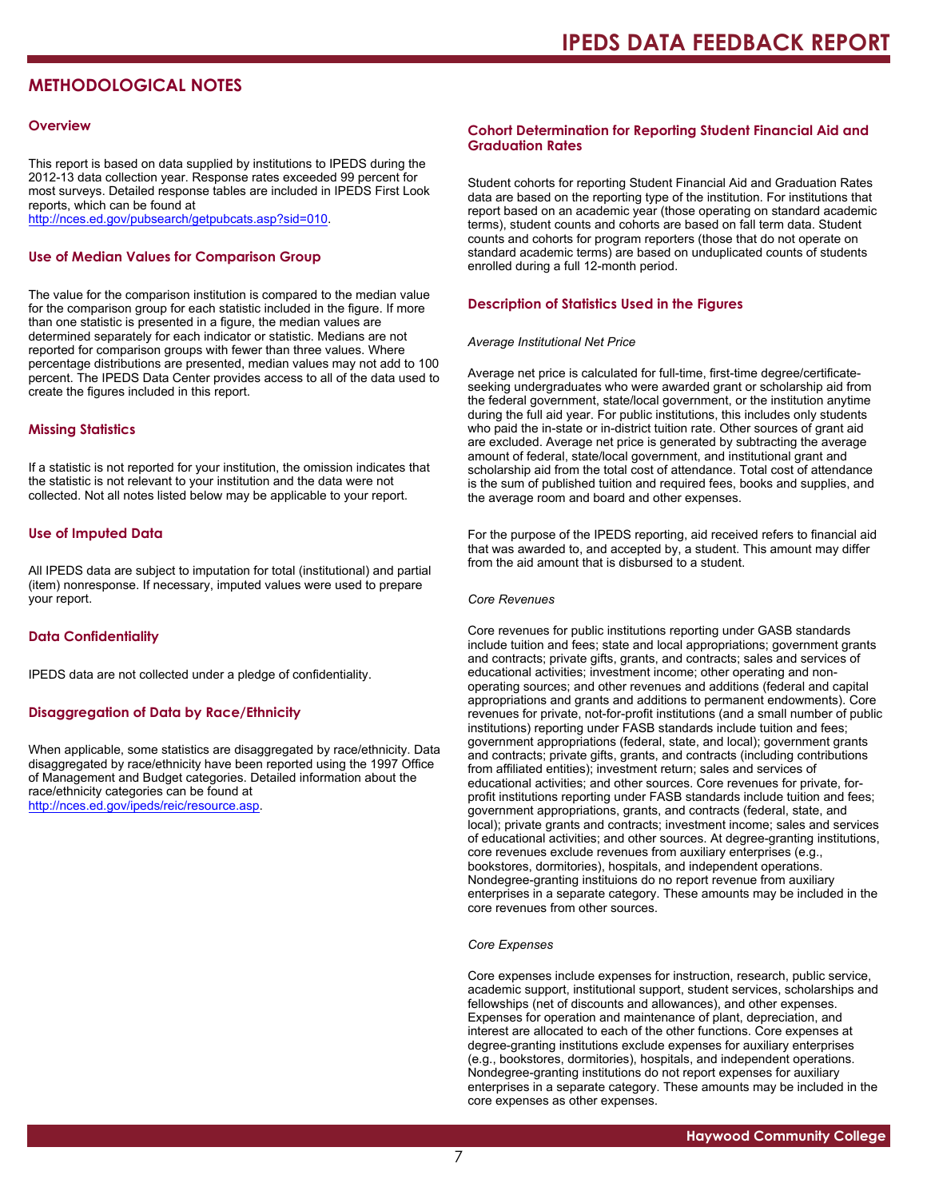### **METHODOLOGICAL NOTES**

#### **Overview**

This report is based on data supplied by institutions to IPEDS during the 2012-13 data collection year. Response rates exceeded 99 percent for most surveys. Detailed response tables are included in IPEDS First Look reports, which can be found at [http://nces.ed.gov/pubsearch/getpubcats.asp?sid=010.](http://nces.ed.gov/pubsearch/getpubcats.asp?sid=010)

#### **Use of Median Values for Comparison Group**

The value for the comparison institution is compared to the median value for the comparison group for each statistic included in the figure. If more than one statistic is presented in a figure, the median values are determined separately for each indicator or statistic. Medians are not reported for comparison groups with fewer than three values. Where percentage distributions are presented, median values may not add to 100 percent. The IPEDS Data Center provides access to all of the data used to create the figures included in this report.

#### **Missing Statistics**

If a statistic is not reported for your institution, the omission indicates that the statistic is not relevant to your institution and the data were not collected. Not all notes listed below may be applicable to your report.

#### **Use of Imputed Data**

All IPEDS data are subject to imputation for total (institutional) and partial (item) nonresponse. If necessary, imputed values were used to prepare your report.

#### **Data Confidentiality**

IPEDS data are not collected under a pledge of confidentiality.

#### **Disaggregation of Data by Race/Ethnicity**

When applicable, some statistics are disaggregated by race/ethnicity. Data disaggregated by race/ethnicity have been reported using the 1997 Office of Management and Budget categories. Detailed information about the race/ethnicity categories can be found at <http://nces.ed.gov/ipeds/reic/resource.asp>.

#### **Cohort Determination for Reporting Student Financial Aid and Graduation Rates**

Student cohorts for reporting Student Financial Aid and Graduation Rates data are based on the reporting type of the institution. For institutions that report based on an academic year (those operating on standard academic terms), student counts and cohorts are based on fall term data. Student counts and cohorts for program reporters (those that do not operate on standard academic terms) are based on unduplicated counts of students enrolled during a full 12-month period.

#### **Description of Statistics Used in the Figures**

#### *Average Institutional Net Price*

Average net price is calculated for full-time, first-time degree/certificateseeking undergraduates who were awarded grant or scholarship aid from the federal government, state/local government, or the institution anytime during the full aid year. For public institutions, this includes only students who paid the in-state or in-district tuition rate. Other sources of grant aid are excluded. Average net price is generated by subtracting the average amount of federal, state/local government, and institutional grant and scholarship aid from the total cost of attendance. Total cost of attendance is the sum of published tuition and required fees, books and supplies, and the average room and board and other expenses.

For the purpose of the IPEDS reporting, aid received refers to financial aid that was awarded to, and accepted by, a student. This amount may differ from the aid amount that is disbursed to a student.

#### *Core Revenues*

Core revenues for public institutions reporting under GASB standards include tuition and fees; state and local appropriations; government grants and contracts; private gifts, grants, and contracts; sales and services of educational activities; investment income; other operating and nonoperating sources; and other revenues and additions (federal and capital appropriations and grants and additions to permanent endowments). Core revenues for private, not-for-profit institutions (and a small number of public institutions) reporting under FASB standards include tuition and fees; government appropriations (federal, state, and local); government grants and contracts; private gifts, grants, and contracts (including contributions from affiliated entities); investment return; sales and services of educational activities; and other sources. Core revenues for private, forprofit institutions reporting under FASB standards include tuition and fees; government appropriations, grants, and contracts (federal, state, and local); private grants and contracts; investment income; sales and services of educational activities; and other sources. At degree-granting institutions, core revenues exclude revenues from auxiliary enterprises (e.g., bookstores, dormitories), hospitals, and independent operations. Nondegree-granting instituions do no report revenue from auxiliary enterprises in a separate category. These amounts may be included in the core revenues from other sources.

#### *Core Expenses*

Core expenses include expenses for instruction, research, public service, academic support, institutional support, student services, scholarships and fellowships (net of discounts and allowances), and other expenses. Expenses for operation and maintenance of plant, depreciation, and interest are allocated to each of the other functions. Core expenses at degree-granting institutions exclude expenses for auxiliary enterprises (e.g., bookstores, dormitories), hospitals, and independent operations. Nondegree-granting institutions do not report expenses for auxiliary enterprises in a separate category. These amounts may be included in the core expenses as other expenses.